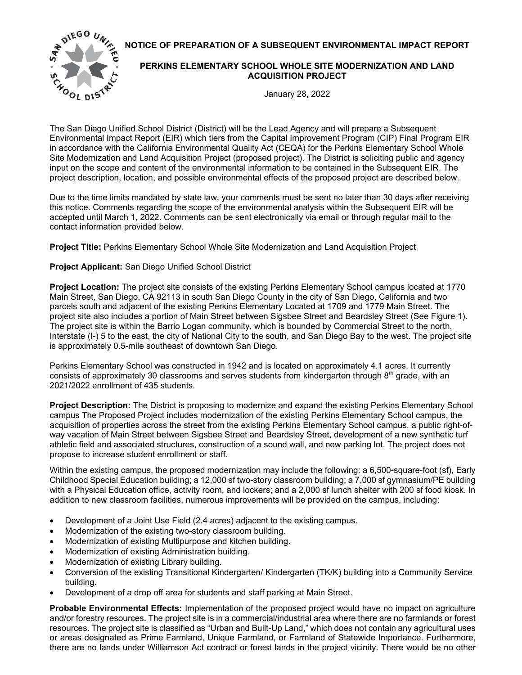**NOTICE OF PREPARATION OF A SUBSEQUENT ENVIRONMENTAL IMPACT REPORT** 



## **PERKINS ELEMENTARY SCHOOL WHOLE SITE MODERNIZATION AND LAND ACQUISITION PROJECT**

January 28, 2022

The San Diego Unified School District (District) will be the Lead Agency and will prepare a Subsequent Environmental Impact Report (EIR) which tiers from the Capital Improvement Program (CIP) Final Program EIR in accordance with the California Environmental Quality Act (CEQA) for the Perkins Elementary School Whole Site Modernization and Land Acquisition Project (proposed project). The District is soliciting public and agency input on the scope and content of the environmental information to be contained in the Subsequent EIR. The project description, location, and possible environmental effects of the proposed project are described below.

Due to the time limits mandated by state law, your comments must be sent no later than 30 days after receiving this notice. Comments regarding the scope of the environmental analysis within the Subsequent EIR will be accepted until March 1, 2022. Comments can be sent electronically via email or through regular mail to the contact information provided below.

**Project Title:** Perkins Elementary School Whole Site Modernization and Land Acquisition Project

**Project Applicant:** San Diego Unified School District

**Project Location:** The project site consists of the existing Perkins Elementary School campus located at 1770 Main Street, San Diego, CA 92113 in south San Diego County in the city of San Diego, California and two parcels south and adjacent of the existing Perkins Elementary Located at 1709 and 1779 Main Street. The project site also includes a portion of Main Street between Sigsbee Street and Beardsley Street (See Figure 1). The project site is within the Barrio Logan community, which is bounded by Commercial Street to the north, Interstate (I-) 5 to the east, the city of National City to the south, and San Diego Bay to the west. The project site is approximately 0.5-mile southeast of downtown San Diego.

Perkins Elementary School was constructed in 1942 and is located on approximately 4.1 acres. It currently consists of approximately 30 classrooms and serves students from kindergarten through 8<sup>th</sup> grade, with an 2021/2022 enrollment of 435 students.

**Project Description:** The District is proposing to modernize and expand the existing Perkins Elementary School campus The Proposed Project includes modernization of the existing Perkins Elementary School campus, the acquisition of properties across the street from the existing Perkins Elementary School campus, a public right-ofway vacation of Main Street between Sigsbee Street and Beardsley Street, development of a new synthetic turf athletic field and associated structures, construction of a sound wall, and new parking lot. The project does not propose to increase student enrollment or staff.

Within the existing campus, the proposed modernization may include the following: a 6,500-square-foot (sf), Early Childhood Special Education building; a 12,000 sf two-story classroom building; a 7,000 sf gymnasium/PE building with a Physical Education office, activity room, and lockers; and a 2,000 sf lunch shelter with 200 sf food kiosk. In addition to new classroom facilities, numerous improvements will be provided on the campus, including:

- Development of a Joint Use Field (2.4 acres) adjacent to the existing campus.
- Modernization of the existing two-story classroom building.
- Modernization of existing Multipurpose and kitchen building.
- Modernization of existing Administration building.
- Modernization of existing Library building.
- Conversion of the existing Transitional Kindergarten/ Kindergarten (TK/K) building into a Community Service building.
- Development of a drop off area for students and staff parking at Main Street.

**Probable Environmental Effects:** Implementation of the proposed project would have no impact on agriculture and/or forestry resources. The project site is in a commercial/industrial area where there are no farmlands or forest resources. The project site is classified as "Urban and Built-Up Land," which does not contain any agricultural uses or areas designated as Prime Farmland, Unique Farmland, or Farmland of Statewide Importance. Furthermore, there are no lands under Williamson Act contract or forest lands in the project vicinity. There would be no other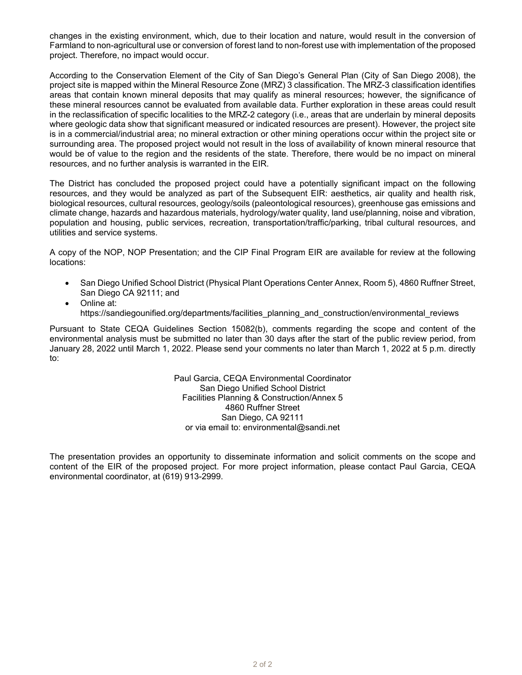changes in the existing environment, which, due to their location and nature, would result in the conversion of Farmland to non-agricultural use or conversion of forest land to non-forest use with implementation of the proposed project. Therefore, no impact would occur.

According to the Conservation Element of the City of San Diego's General Plan (City of San Diego 2008), the project site is mapped within the Mineral Resource Zone (MRZ) 3 classification. The MRZ-3 classification identifies areas that contain known mineral deposits that may qualify as mineral resources; however, the significance of these mineral resources cannot be evaluated from available data. Further exploration in these areas could result in the reclassification of specific localities to the MRZ-2 category (i.e., areas that are underlain by mineral deposits where geologic data show that significant measured or indicated resources are present). However, the project site is in a commercial/industrial area; no mineral extraction or other mining operations occur within the project site or surrounding area. The proposed project would not result in the loss of availability of known mineral resource that would be of value to the region and the residents of the state. Therefore, there would be no impact on mineral resources, and no further analysis is warranted in the EIR.

The District has concluded the proposed project could have a potentially significant impact on the following resources, and they would be analyzed as part of the Subsequent EIR: aesthetics, air quality and health risk, biological resources, cultural resources, geology/soils (paleontological resources), greenhouse gas emissions and climate change, hazards and hazardous materials, hydrology/water quality, land use/planning, noise and vibration, population and housing, public services, recreation, transportation/traffic/parking, tribal cultural resources, and utilities and service systems.

A copy of the NOP, NOP Presentation; and the CIP Final Program EIR are available for review at the following locations:

- San Diego Unified School District (Physical Plant Operations Center Annex, Room 5), 4860 Ruffner Street, San Diego CA 92111; and
- Online at: https://sandiegounified.org/departments/facilities\_planning\_and\_construction/environmental\_reviews

Pursuant to State CEQA Guidelines Section 15082(b), comments regarding the scope and content of the environmental analysis must be submitted no later than 30 days after the start of the public review period, from January 28, 2022 until March 1, 2022. Please send your comments no later than March 1, 2022 at 5 p.m. directly to:

> Paul Garcia, CEQA Environmental Coordinator San Diego Unified School District Facilities Planning & Construction/Annex 5 4860 Ruffner Street San Diego, CA 92111 or via email to: environmental@sandi.net

The presentation provides an opportunity to disseminate information and solicit comments on the scope and content of the EIR of the proposed project. For more project information, please contact Paul Garcia, CEQA environmental coordinator, at (619) 913-2999.